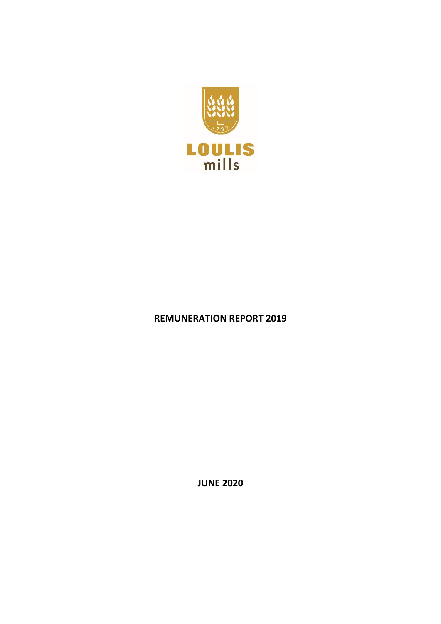

## **REMUNERATION REPORT 2019**

**JUNE 2020**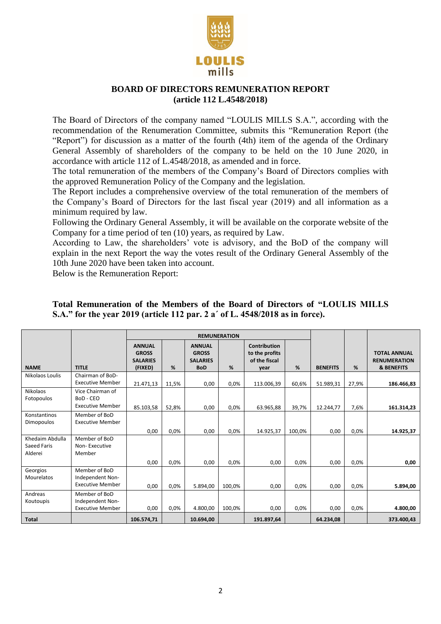

## **BOARD OF DIRECTORS REMUNERATION REPORT (article 112 L.4548/2018)**

The Board of Directors of the company named "LOULIS MILLS S.A.", according with the recommendation of the Renumeration Committee, submits this "Remuneration Report (the "Report") for discussion as a matter of the fourth (4th) item of the agenda of the Ordinary General Assembly of shareholders of the company to be held on the 10 June 2020, in accordance with article 112 of L.4548/2018, as amended and in force.

The total remuneration of the members of the Company's Board of Directors complies with the approved Remuneration Policy of the Company and the legislation.

The Report includes a comprehensive overview of the total remuneration of the members of the Company's Board of Directors for the last fiscal year (2019) and all information as a minimum required by law.

Following the Ordinary General Assembly, it will be available on the corporate website of the Company for a time period of ten (10) years, as required by Law.

According to Law, the shareholders' vote is advisory, and the BoD of the company will explain in the next Report the way the votes result of the Ordinary General Assembly of the 10th June 2020 have been taken into account.

Below is the Remuneration Report:

|                                           |                                                              | <b>REMUNERATION</b>                                         |              |                                                                |                |                                                                |              |                 |              |                                                                     |
|-------------------------------------------|--------------------------------------------------------------|-------------------------------------------------------------|--------------|----------------------------------------------------------------|----------------|----------------------------------------------------------------|--------------|-----------------|--------------|---------------------------------------------------------------------|
| <b>NAME</b>                               | <b>TITLE</b>                                                 | <b>ANNUAL</b><br><b>GROSS</b><br><b>SALARIES</b><br>(FIXED) | %            | <b>ANNUAL</b><br><b>GROSS</b><br><b>SALARIES</b><br><b>BoD</b> | %              | <b>Contribution</b><br>to the profits<br>of the fiscal<br>vear | %            | <b>BENEFITS</b> | %            | <b>TOTAL ANNUAL</b><br><b>RENUMERATION</b><br><b>&amp; BENEFITS</b> |
| Nikolaos Loulis                           | Chairman of BoD-<br><b>Executive Member</b>                  | 21.471,13                                                   | 11,5%        | 0,00                                                           | 0,0%           | 113.006,39                                                     | 60,6%        | 51.989,31       | 27,9%        | 186.466,83                                                          |
| <b>Nikolaos</b><br>Fotopoulos             | Vice Chairman of<br>BoD - CEO<br><b>Executive Member</b>     | 85.103,58                                                   | 52,8%        | 0,00                                                           | 0,0%           | 63.965,88                                                      | 39,7%        | 12.244,77       | 7,6%         | 161.314,23                                                          |
| Konstantinos<br><b>Dimopoulos</b>         | Member of BoD<br><b>Executive Member</b>                     | 0,00                                                        | 0,0%         | 0,00                                                           | $0,0\%$        | 14.925,37                                                      | 100,0%       | 0,00            | 0,0%         | 14.925,37                                                           |
| Khedaim Abdulla<br>Saeed Faris<br>Alderei | Member of BoD<br>Non-Executive<br>Member                     |                                                             |              |                                                                |                |                                                                |              |                 |              |                                                                     |
| Georgios<br><b>Mourelatos</b>             | Member of BoD<br>Independent Non-<br><b>Executive Member</b> | 0,00<br>0,00                                                | 0,0%<br>0,0% | 0,00<br>5.894,00                                               | 0,0%<br>100,0% | 0,00<br>0,00                                                   | 0,0%<br>0,0% | 0,00<br>0,00    | 0,0%<br>0,0% | 0,00<br>5.894,00                                                    |
| Andreas<br>Koutoupis                      | Member of BoD<br>Independent Non-<br><b>Executive Member</b> | 0,00                                                        | 0,0%         | 4.800,00                                                       | 100,0%         | 0,00                                                           | $0,0\%$      | 0,00            | 0,0%         | 4.800,00                                                            |
| <b>Total</b>                              |                                                              | 106.574,71                                                  |              | 10.694,00                                                      |                | 191.897,64                                                     |              | 64.234,08       |              | 373.400,43                                                          |

## **Total Remuneration of the Members of the Board of Directors of "LOULIS MILLS S.A." for the year 2019 (article 112 par. 2 a΄ of L. 4548/2018 as in force).**